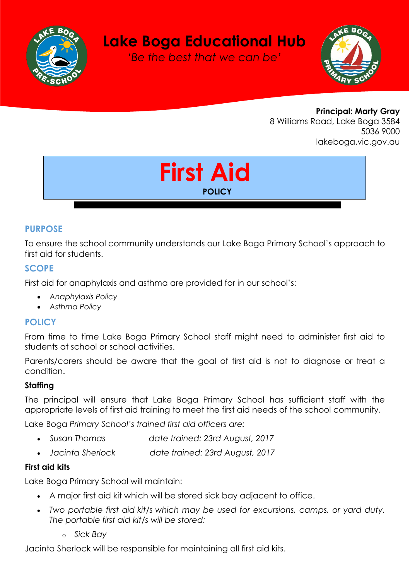

# **Lake Boga Educational Hub**

*'Be the best that we can be'*



**Principal: Marty Gray** 8 Williams Road, Lake Boga 3584 5036 9000 lakeboga.vic.gov.au



## **PURPOSE**

To ensure the school community understands our Lake Boga Primary School's approach to first aid for students.

#### **SCOPE**

First aid for anaphylaxis and asthma are provided for in our school's:

- *Anaphylaxis Policy*
- *Asthma Policy*

#### **POLICY**

From time to time Lake Boga Primary School staff might need to administer first aid to students at school or school activities.

Parents/carers should be aware that the goal of first aid is not to diagnose or treat a condition.

#### **Staffing**

The principal will ensure that Lake Boga Primary School has sufficient staff with the appropriate levels of first aid training to meet the first aid needs of the school community.

Lake Boga *Primary School's trained first aid officers are:*

- *Susan Thomas date trained: 23rd August, 2017*
- *Jacinta Sherlock date trained: 23rd August, 2017*

#### **First aid kits**

Lake Boga Primary School will maintain:

- A major first aid kit which will be stored sick bay adjacent to office.
- *Two portable first aid kit/s which may be used for excursions, camps, or yard duty. The portable first aid kit/s will be stored:* 
	- o *Sick Bay*

Jacinta Sherlock will be responsible for maintaining all first aid kits.